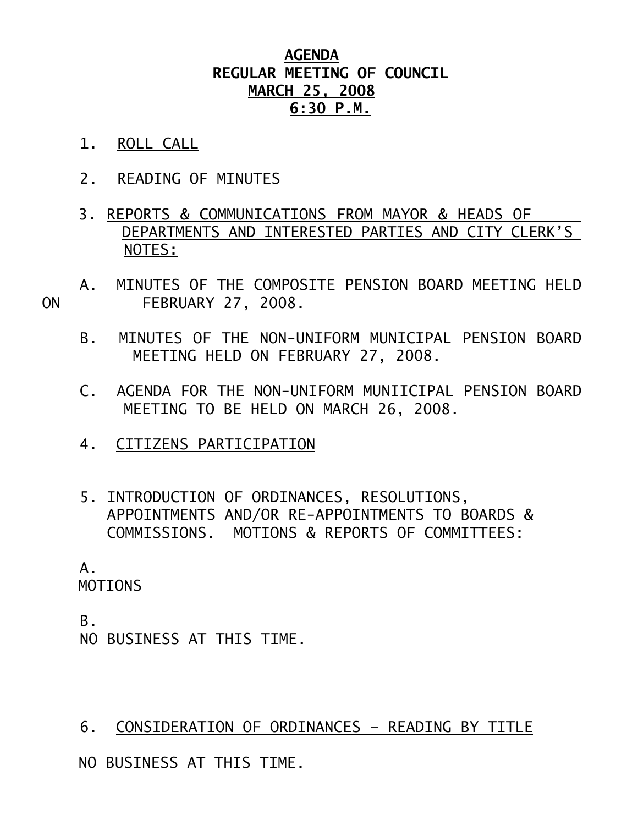## **AGENDA REGULAR MEETING OF COUNCIL MARCH 25, 2008 6:30 P.M.**

- 1. ROLL CALL
- 2. READING OF MINUTES
- 3. REPORTS & COMMUNICATIONS FROM MAYOR & HEADS OF DEPARTMENTS AND INTERESTED PARTIES AND CITY CLERK'S NOTES:
- A. MINUTES OF THE COMPOSITE PENSION BOARD MEETING HELD ON FEBRUARY 27, 2008.
	- B. MINUTES OF THE NON-UNIFORM MUNICIPAL PENSION BOARD MEETING HELD ON FEBRUARY 27, 2008.
	- C. AGENDA FOR THE NON-UNIFORM MUNIICIPAL PENSION BOARD MEETING TO BE HELD ON MARCH 26, 2008.
	- 4. CITIZENS PARTICIPATION
	- 5. INTRODUCTION OF ORDINANCES, RESOLUTIONS, APPOINTMENTS AND/OR RE-APPOINTMENTS TO BOARDS & COMMISSIONS. MOTIONS & REPORTS OF COMMITTEES:

 A. MOTIONS

 B. NO BUSINESS AT THIS TIME.

## 6. CONSIDERATION OF ORDINANCES – READING BY TITLE

NO BUSINESS AT THIS TIME.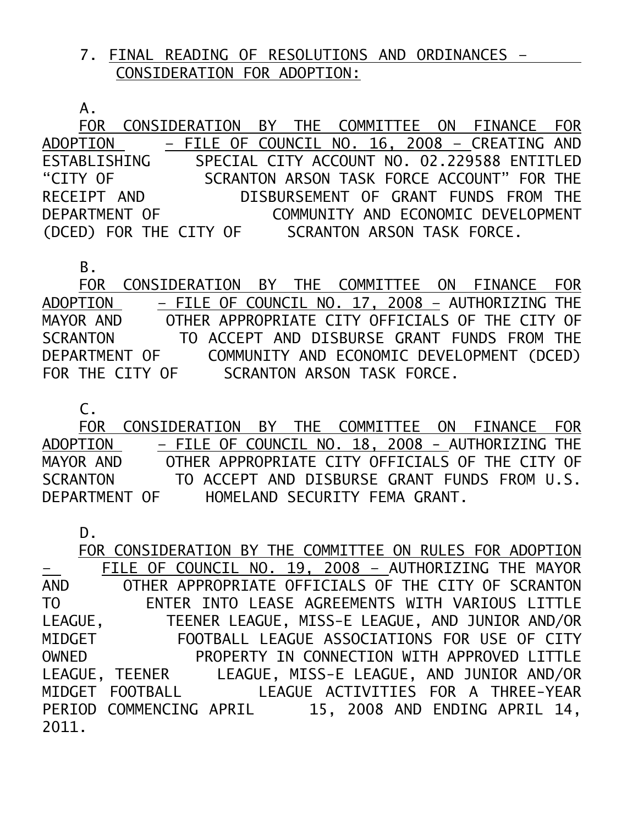## 7. FINAL READING OF RESOLUTIONS AND ORDINANCES – CONSIDERATION FOR ADOPTION:

A.

 FOR CONSIDERATION BY THE COMMITTEE ON FINANCE FOR ADOPTION – FILE OF COUNCIL NO. 16, 2008 – CREATING AND ESTABLISHING SPECIAL CITY ACCOUNT NO. 02.229588 ENTITLED "CITY OF SCRANTON ARSON TASK FORCE ACCOUNT" FOR THE RECEIPT AND DISBURSEMENT OF GRANT FUNDS FROM THE DEPARTMENT OF COMMUNITY AND ECONOMIC DEVELOPMENT (DCED) FOR THE CITY OF SCRANTON ARSON TASK FORCE.

B.

 FOR CONSIDERATION BY THE COMMITTEE ON FINANCE FOR ADOPTION – FILE OF COUNCIL NO. 17, 2008 – AUTHORIZING THE MAYOR AND OTHER APPROPRIATE CITY OFFICIALS OF THE CITY OF SCRANTON TO ACCEPT AND DISBURSE GRANT FUNDS FROM THE DEPARTMENT OF COMMUNITY AND ECONOMIC DEVELOPMENT (DCED) FOR THE CITY OF SCRANTON ARSON TASK FORCE.

 $C<sub>1</sub>$ 

 FOR CONSIDERATION BY THE COMMITTEE ON FINANCE FOR ADOPTION – FILE OF COUNCIL NO. 18, 2008 - AUTHORIZING THE MAYOR AND OTHER APPROPRIATE CITY OFFICIALS OF THE CITY OF SCRANTON TO ACCEPT AND DISBURSE GRANT FUNDS FROM U.S. DEPARTMENT OF HOMELAND SECURITY FEMA GRANT.

D. FOR CONSIDERATION BY THE COMMITTEE ON RULES FOR ADOPTION – FILE OF COUNCIL NO. 19, 2008 – AUTHORIZING THE MAYOR AND OTHER APPROPRIATE OFFICIALS OF THE CITY OF SCRANTON TO ENTER INTO LEASE AGREEMENTS WITH VARIOUS LITTLE LEAGUE, TEENER LEAGUE, MISS-E LEAGUE, AND JUNIOR AND/OR MIDGET FOOTBALL LEAGUE ASSOCIATIONS FOR USE OF CITY OWNED PROPERTY IN CONNECTION WITH APPROVED LITTLE LEAGUE, TEENER LEAGUE, MISS-E LEAGUE, AND JUNIOR AND/OR MIDGET FOOTBALL LEAGUE ACTIVITIES FOR A THREE-YEAR PERIOD COMMENCING APRIL 15, 2008 AND ENDING APRIL 14, 2011.